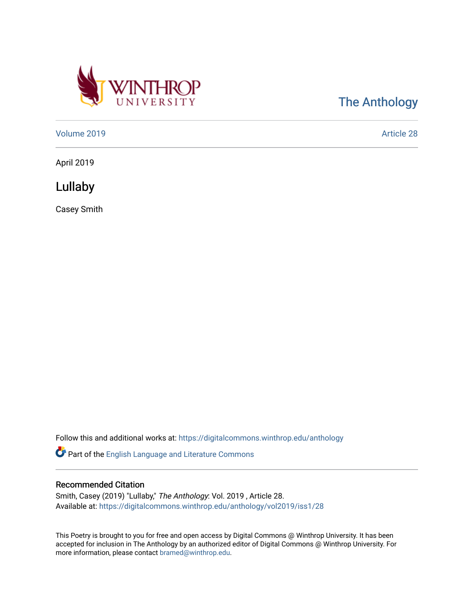

[The Anthology](https://digitalcommons.winthrop.edu/anthology) 

[Volume 2019](https://digitalcommons.winthrop.edu/anthology/vol2019) [Article 28](https://digitalcommons.winthrop.edu/anthology/vol2019/iss1/28) 

April 2019

Lullaby

Casey Smith

Follow this and additional works at: [https://digitalcommons.winthrop.edu/anthology](https://digitalcommons.winthrop.edu/anthology?utm_source=digitalcommons.winthrop.edu%2Fanthology%2Fvol2019%2Fiss1%2F28&utm_medium=PDF&utm_campaign=PDFCoverPages) 

Part of the [English Language and Literature Commons](http://network.bepress.com/hgg/discipline/455?utm_source=digitalcommons.winthrop.edu%2Fanthology%2Fvol2019%2Fiss1%2F28&utm_medium=PDF&utm_campaign=PDFCoverPages)

## Recommended Citation

Smith, Casey (2019) "Lullaby," The Anthology: Vol. 2019 , Article 28. Available at: [https://digitalcommons.winthrop.edu/anthology/vol2019/iss1/28](https://digitalcommons.winthrop.edu/anthology/vol2019/iss1/28?utm_source=digitalcommons.winthrop.edu%2Fanthology%2Fvol2019%2Fiss1%2F28&utm_medium=PDF&utm_campaign=PDFCoverPages) 

This Poetry is brought to you for free and open access by Digital Commons @ Winthrop University. It has been accepted for inclusion in The Anthology by an authorized editor of Digital Commons @ Winthrop University. For more information, please contact [bramed@winthrop.edu](mailto:bramed@winthrop.edu).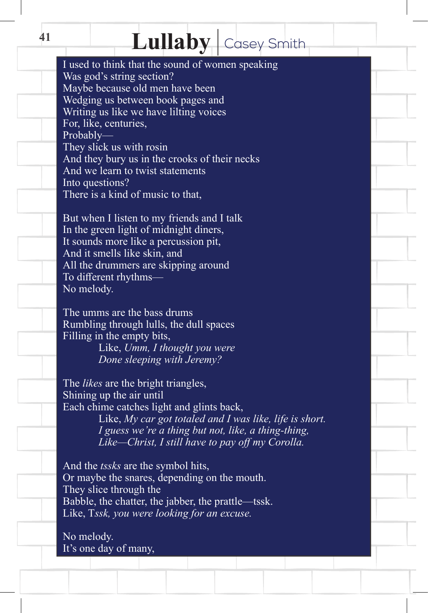## Lullaby Casey Smith

I used to think that the sound of women speaking Was god's string section? Maybe because old men have been Wedging us between book pages and Writing us like we have lilting voices For, like, centuries, Probably— They slick us with rosin And they bury us in the crooks of their necks And we learn to twist statements Into questions? There is a kind of music to that,

But when I listen to my friends and I talk In the green light of midnight diners, It sounds more like a percussion pit, And it smells like skin, and All the drummers are skipping around To different rhythms— No melody.

The umms are the bass drums Rumbling through lulls, the dull spaces Filling in the empty bits, Like, *Umm, I thought you were Done sleeping with Jeremy?*

The *likes* are the bright triangles, Shining up the air until Each chime catches light and glints back, Like, *My car got totaled and I was like, life is short.*

*I guess we're a thing but not, like, a thing-thing, Like—Christ, I still have to pay off my Corolla.* 

And the *tssks* are the symbol hits, Or maybe the snares, depending on the mouth. They slice through the Babble, the chatter, the jabber, the prattle—tssk. Like, T*ssk, you were looking for an excuse.*

No melody. It's one day of many,